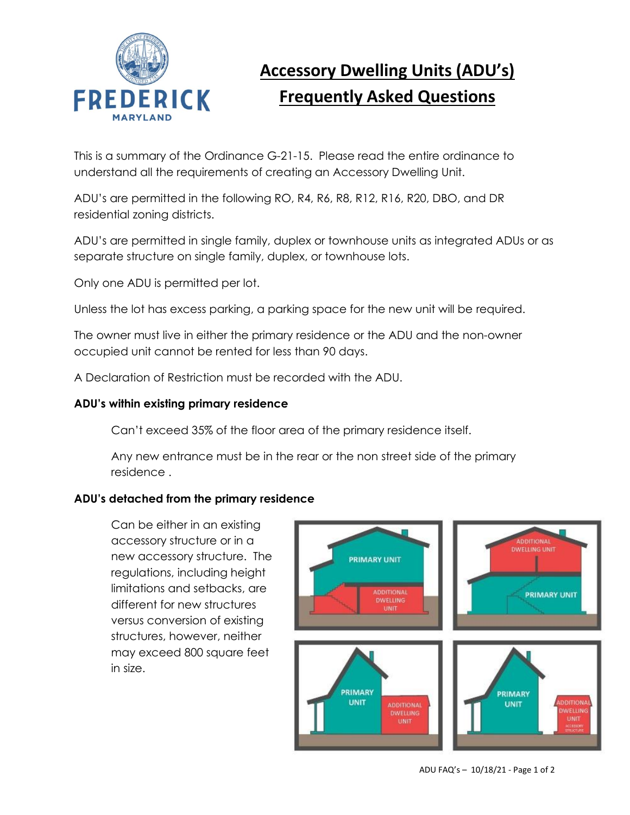

# **Accessory Dwelling Units (ADU's) Frequently Asked Questions**

This is a summary of the Ordinance G-21-15. Please read the entire ordinance to understand all the requirements of creating an Accessory Dwelling Unit.

ADU's are permitted in the following RO, R4, R6, R8, R12, R16, R20, DBO, and DR residential zoning districts.

ADU's are permitted in single family, duplex or townhouse units as integrated ADUs or as separate structure on single family, duplex, or townhouse lots.

Only one ADU is permitted per lot.

Unless the lot has excess parking, a parking space for the new unit will be required.

The owner must live in either the primary residence or the ADU and the non-owner occupied unit cannot be rented for less than 90 days.

A Declaration of Restriction must be recorded with the ADU.

## **ADU's within existing primary residence**

Can't exceed 35% of the floor area of the primary residence itself.

Any new entrance must be in the rear or the non street side of the primary residence .

# **ADU's detached from the primary residence**

Can be either in an existing accessory structure or in a new accessory structure. The regulations, including height limitations and setbacks, are different for new structures versus conversion of existing structures, however, neither may exceed 800 square feet in size.

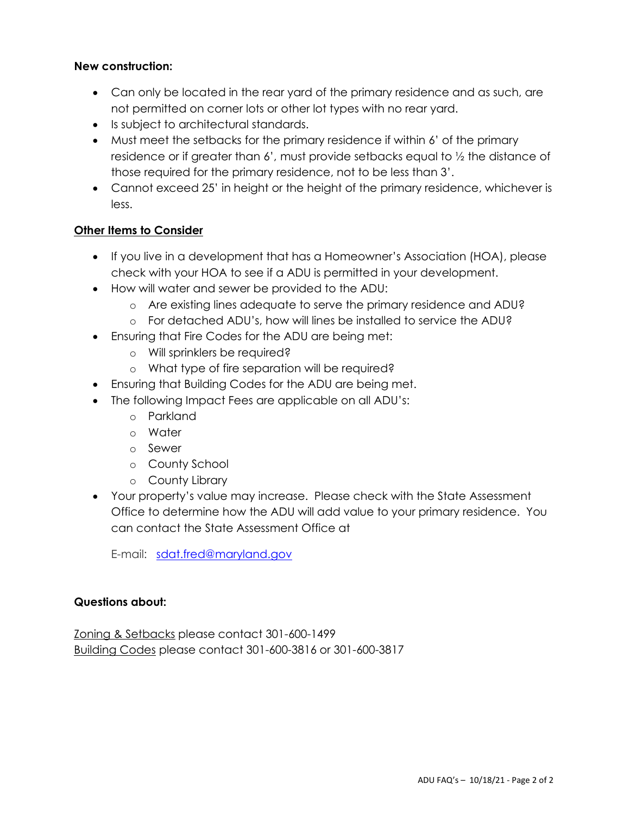# **New construction:**

- Can only be located in the rear yard of the primary residence and as such, are not permitted on corner lots or other lot types with no rear yard.
- Is subject to architectural standards.
- Must meet the setbacks for the primary residence if within 6' of the primary residence or if greater than 6', must provide setbacks equal to ½ the distance of those required for the primary residence, not to be less than 3'.
- Cannot exceed 25' in height or the height of the primary residence, whichever is less.

#### **Other Items to Consider**

- If you live in a development that has a Homeowner's Association (HOA), please check with your HOA to see if a ADU is permitted in your development.
- How will water and sewer be provided to the ADU:
	- o Are existing lines adequate to serve the primary residence and ADU?
	- o For detached ADU's, how will lines be installed to service the ADU?
- Ensuring that Fire Codes for the ADU are being met:
	- o Will sprinklers be required?
	- o What type of fire separation will be required?
- Ensuring that Building Codes for the ADU are being met.
- The following Impact Fees are applicable on all ADU's:
	- o Parkland
	- o Water
	- o Sewer
	- o County School
	- o County Library
- Your property's value may increase. Please check with the State Assessment Office to determine how the ADU will add value to your primary residence. You can contact the State Assessment Office at

E-mail: [sdat.fred@maryland.gov](mailto:%20%20sdat.fred@maryland.gov)

#### **Questions about:**

Zoning & Setbacks please contact 301-600-1499 Building Codes please contact 301-600-3816 or 301-600-3817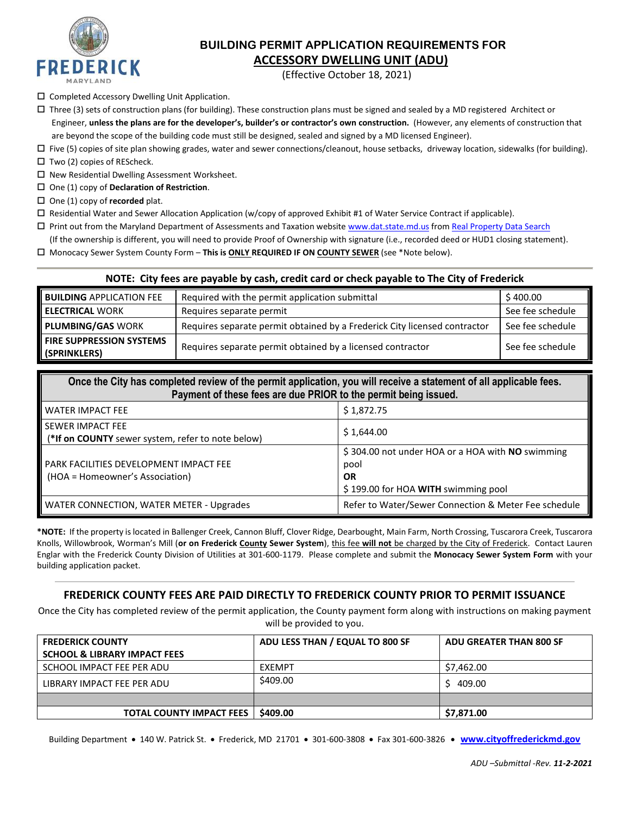

## **BUILDING PERMIT APPLICATION REQUIREMENTS FOR ACCESSORY DWELLING UNIT (ADU)**

(Effective October 18, 2021)

- Completed Accessory Dwelling Unit Application.
- $\Box$  Three (3) sets of construction plans (for building). These construction plans must be signed and sealed by a MD registered Architect or Engineer, **unless the plans are for the developer's, builder's or contractor's own construction.** (However, any elements of construction that are beyond the scope of the building code must still be designed, sealed and signed by a MD licensed Engineer).
- $\Box$  Five (5) copies of site plan showing grades, water and sewer connections/cleanout, house setbacks, driveway location, sidewalks (for building).
- $\Box$  Two (2) copies of REScheck.
- $\square$  New Residential Dwelling Assessment Worksheet.
- One (1) copy of **Declaration of Restriction**.
- □ One (1) copy of **recorded** plat.
- Residential Water and Sewer Allocation Application (w/copy of approved Exhibit #1 of Water Service Contract if applicable).
- Print out from the Maryland Department of Assessments and Taxation websit[e www.dat.state.md.us](http://www.dat.state.md.us/) from [Real Property Data Search](http://sdatcert3.resiusa.org/rp_rewrite/)
- (If the ownership is different, you will need to provide Proof of Ownership with signature (i.e., recorded deed or HUD1 closing statement).
- Monocacy Sewer System County Form **This is ONLY REQUIRED IF ON COUNTY SEWER** (see \*Note below).

#### **NOTE: City fees are payable by cash, credit card or check payable to The City of Frederick**

| <b>BUILDING</b> APPLICATION FEE                 | Required with the permit application submittal                            |                  |  |
|-------------------------------------------------|---------------------------------------------------------------------------|------------------|--|
| <b>ELECTRICAL WORK</b>                          | Requires separate permit                                                  | See fee schedule |  |
| <b>PLUMBING/GAS WORK</b>                        | Requires separate permit obtained by a Frederick City licensed contractor | See fee schedule |  |
| <b>FIRE SUPPRESSION SYSTEMS</b><br>(SPRINKLERS) | Requires separate permit obtained by a licensed contractor                | See fee schedule |  |

| Once the City has completed review of the permit application, you will receive a statement of all applicable fees.<br>Payment of these fees are due PRIOR to the permit being issued. |                                                                                                              |  |  |  |  |
|---------------------------------------------------------------------------------------------------------------------------------------------------------------------------------------|--------------------------------------------------------------------------------------------------------------|--|--|--|--|
| <b>WATER IMPACT FEE</b>                                                                                                                                                               | \$1,872.75                                                                                                   |  |  |  |  |
| <b>SEWER IMPACT FEE</b><br>(*If on COUNTY sewer system, refer to note below)                                                                                                          | \$1,644.00                                                                                                   |  |  |  |  |
| <b>PARK FACILITIES DEVELOPMENT IMPACT FEE</b><br>(HOA = Homeowner's Association)                                                                                                      | \$304.00 not under HOA or a HOA with NO swimming<br>pool<br><b>OR</b><br>\$199.00 for HOA WITH swimming pool |  |  |  |  |
| WATER CONNECTION, WATER METER - Upgrades                                                                                                                                              | Refer to Water/Sewer Connection & Meter Fee schedule                                                         |  |  |  |  |

**\*NOTE:** If the property is located in Ballenger Creek, Cannon Bluff, Clover Ridge, Dearbought, Main Farm, North Crossing, Tuscarora Creek, Tuscarora Knolls, Willowbrook, Worman's Mill (**or on Frederick County Sewer System**), this fee **will not** be charged by the City of Frederick. Contact Lauren Englar with the Frederick County Division of Utilities at 301-600-1179. Please complete and submit the **Monocacy Sewer System Form** with your building application packet.

#### **FREDERICK COUNTY FEES ARE PAID DIRECTLY TO FREDERICK COUNTY PRIOR TO PERMIT ISSUANCE**

Once the City has completed review of the permit application, the County payment form along with instructions on making payment will be provided to you.

| <b>FREDERICK COUNTY</b>                 | ADU LESS THAN / EQUAL TO 800 SF | <b>ADU GREATER THAN 800 SF</b> |
|-----------------------------------------|---------------------------------|--------------------------------|
| <b>SCHOOL &amp; LIBRARY IMPACT FEES</b> |                                 |                                |
| SCHOOL IMPACT FEE PER ADU               | EXEMPT                          | \$7,462.00                     |
| LIBRARY IMPACT FEE PER ADU              | \$409.00                        | 409.00                         |
|                                         |                                 |                                |
| <b>TOTAL COUNTY IMPACT FEES</b>         | \$409.00                        | \$7,871.00                     |

Building Department • 140 W. Patrick St. • Frederick, MD 21701 • 301-600-3808 • Fax 301-600-3826 • **[www.cityoffrederickmd.gov](http://www.cityoffrederickmd.gov/)**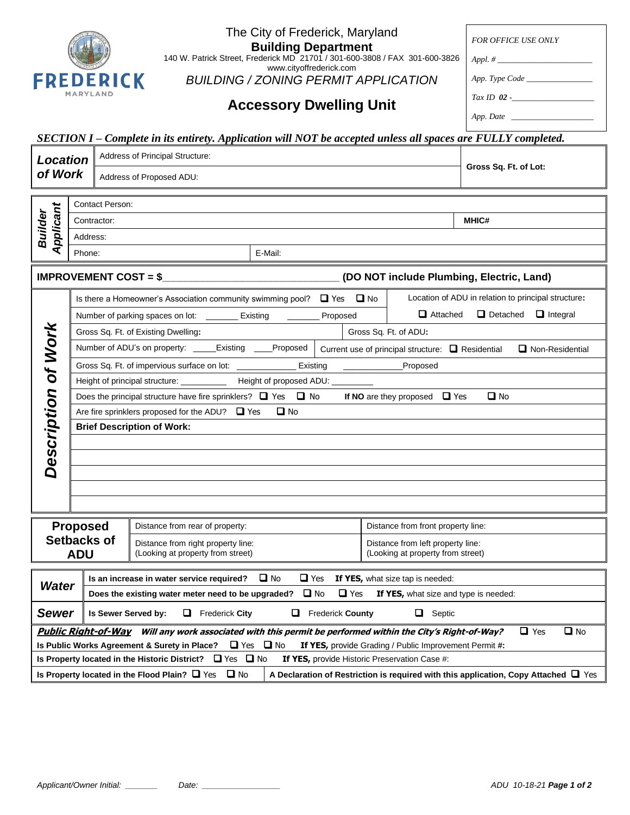| The City of Frederick, Maryland<br><b>Building Department</b><br>140 W. Patrick Street, Frederick MD 21701 / 301-600-3808 / FAX 301-600-3826<br>www.cityoffrederick.com<br><b>FREDERICK</b><br><b>BUILDING / ZONING PERMIT APPLICATION</b>         |                                                                                        |                                                                                                                                        | <b>FOR OFFICE USE ONLY</b><br>App. Type Code       |                                                                                          |  |  |
|----------------------------------------------------------------------------------------------------------------------------------------------------------------------------------------------------------------------------------------------------|----------------------------------------------------------------------------------------|----------------------------------------------------------------------------------------------------------------------------------------|----------------------------------------------------|------------------------------------------------------------------------------------------|--|--|
|                                                                                                                                                                                                                                                    | MARYLAND                                                                               | <b>Accessory Dwelling Unit</b>                                                                                                         |                                                    |                                                                                          |  |  |
|                                                                                                                                                                                                                                                    |                                                                                        |                                                                                                                                        |                                                    |                                                                                          |  |  |
|                                                                                                                                                                                                                                                    |                                                                                        | SECTION I - Complete in its entirety. Application will NOT be accepted unless all spaces are FULLY completed.                          |                                                    |                                                                                          |  |  |
| <b>Location</b>                                                                                                                                                                                                                                    |                                                                                        | Address of Principal Structure:                                                                                                        |                                                    | Gross Sq. Ft. of Lot:                                                                    |  |  |
| of Work                                                                                                                                                                                                                                            |                                                                                        | Address of Proposed ADU:                                                                                                               |                                                    |                                                                                          |  |  |
|                                                                                                                                                                                                                                                    | Contact Person:                                                                        |                                                                                                                                        |                                                    |                                                                                          |  |  |
| Applicant<br><b>Builder</b>                                                                                                                                                                                                                        | Contractor:                                                                            |                                                                                                                                        |                                                    | <b>MHIC#</b>                                                                             |  |  |
|                                                                                                                                                                                                                                                    | Address:                                                                               |                                                                                                                                        |                                                    |                                                                                          |  |  |
|                                                                                                                                                                                                                                                    | Phone:                                                                                 | E-Mail:                                                                                                                                |                                                    |                                                                                          |  |  |
|                                                                                                                                                                                                                                                    | <b>IMPROVEMENT COST = <math>\</math></b>                                               |                                                                                                                                        | (DO NOT include Plumbing, Electric, Land)          |                                                                                          |  |  |
|                                                                                                                                                                                                                                                    |                                                                                        | Is there a Homeowner's Association community swimming pool? $\Box$ Yes $\Box$ No                                                       |                                                    | Location of ADU in relation to principal structure:                                      |  |  |
|                                                                                                                                                                                                                                                    |                                                                                        | Number of parking spaces on lot: ________ Existing<br>Proposed                                                                         | $\Box$ Detached $\Box$ Integral<br>$\Box$ Attached |                                                                                          |  |  |
|                                                                                                                                                                                                                                                    |                                                                                        | Gross Sq. Ft. of Existing Dwelling:<br>Gross Sq. Ft. of ADU:                                                                           |                                                    |                                                                                          |  |  |
|                                                                                                                                                                                                                                                    |                                                                                        | Number of ADU's on property: _____Existing ____Proposed  <br>Current use of principal structure: $\Box$ Residential<br>Non-Residential |                                                    |                                                                                          |  |  |
|                                                                                                                                                                                                                                                    |                                                                                        | Gross Sq. Ft. of impervious surface on lot: ______________ Existing<br>______________Proposed                                          |                                                    |                                                                                          |  |  |
|                                                                                                                                                                                                                                                    |                                                                                        | Height of principal structure: ____________ Height of proposed ADU: ____                                                               |                                                    |                                                                                          |  |  |
|                                                                                                                                                                                                                                                    |                                                                                        | If NO are they proposed $\Box$ Yes<br>$\Box$ No<br>Does the principal structure have fire sprinklers? $\Box$ Yes $\Box$ No             |                                                    |                                                                                          |  |  |
|                                                                                                                                                                                                                                                    |                                                                                        | Are fire sprinklers proposed for the ADU? $\Box$ Yes<br>$\Box$ No                                                                      |                                                    |                                                                                          |  |  |
| Description of Work                                                                                                                                                                                                                                | <b>Brief Description of Work:</b>                                                      |                                                                                                                                        |                                                    |                                                                                          |  |  |
|                                                                                                                                                                                                                                                    |                                                                                        |                                                                                                                                        |                                                    |                                                                                          |  |  |
|                                                                                                                                                                                                                                                    |                                                                                        |                                                                                                                                        |                                                    |                                                                                          |  |  |
|                                                                                                                                                                                                                                                    | <b>Proposed</b>                                                                        | Distance from rear of property:                                                                                                        | Distance from front property line:                 |                                                                                          |  |  |
|                                                                                                                                                                                                                                                    | Setbacks of<br>Distance from right property line:<br>Distance from left property line: |                                                                                                                                        |                                                    |                                                                                          |  |  |
|                                                                                                                                                                                                                                                    | <b>ADU</b>                                                                             | (Looking at property from street)                                                                                                      | (Looking at property from street)                  |                                                                                          |  |  |
| $\Box$ No<br>Is an increase in water service required?<br>$\Box$ Yes<br>If YES, what size tap is needed:<br><b>Water</b><br>$\Box$ No<br>$\Box$ Yes<br>Does the existing water meter need to be upgraded?<br>If YES, what size and type is needed: |                                                                                        |                                                                                                                                        |                                                    |                                                                                          |  |  |
| Sewer<br>0<br>0<br>Septic<br>Is Sewer Served by:<br>Frederick City<br>u.<br><b>Frederick County</b>                                                                                                                                                |                                                                                        |                                                                                                                                        |                                                    |                                                                                          |  |  |
|                                                                                                                                                                                                                                                    |                                                                                        | Public Right-of-Way Will any work associated with this permit be performed within the City's Right-of-Way?                             |                                                    | $\Box$ No<br>$\Box$ Yes                                                                  |  |  |
| $\Box$ Yes $\Box$ No<br>Is Public Works Agreement & Surety in Place?<br>If YES, provide Grading / Public Improvement Permit #:                                                                                                                     |                                                                                        |                                                                                                                                        |                                                    |                                                                                          |  |  |
|                                                                                                                                                                                                                                                    |                                                                                        | Is Property located in the Historic District? $\Box$ Yes $\Box$ No                                                                     | If YES, provide Historic Preservation Case #:      |                                                                                          |  |  |
|                                                                                                                                                                                                                                                    |                                                                                        | Is Property located in the Flood Plain? $\Box$ Yes<br>$\Box$ No                                                                        |                                                    | A Declaration of Restriction is required with this application, Copy Attached $\Box$ Yes |  |  |